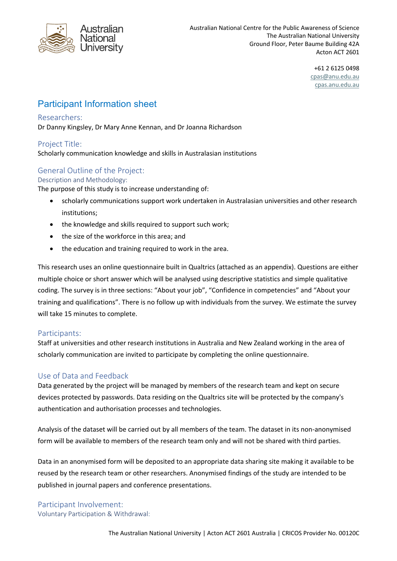

+61 2 6125 0498 cpas@anu.edu.au cpas.anu.edu.au

# Participant Information sheet

#### Researchers:

Dr Danny Kingsley, Dr Mary Anne Kennan, and Dr Joanna Richardson

## Project Title:

Scholarly communication knowledge and skills in Australasian institutions

## General Outline of the Project:

#### Description and Methodology:

The purpose of this study is to increase understanding of:

- scholarly communications support work undertaken in Australasian universities and other research institutions;
- the knowledge and skills required to support such work;
- the size of the workforce in this area; and
- the education and training required to work in the area.

This research uses an online questionnaire built in Qualtrics (attached as an appendix). Questions are either multiple choice or short answer which will be analysed using descriptive statistics and simple qualitative coding. The survey is in three sections: "About your job", "Confidence in competencies" and "About your training and qualifications". There is no follow up with individuals from the survey. We estimate the survey will take 15 minutes to complete.

#### Participants:

Staff at universities and other research institutions in Australia and New Zealand working in the area of scholarly communication are invited to participate by completing the online questionnaire.

## Use of Data and Feedback

Data generated by the project will be managed by members of the research team and kept on secure devices protected by passwords. Data residing on the Qualtrics site will be protected by the company's authentication and authorisation processes and technologies.

Analysis of the dataset will be carried out by all members of the team. The dataset in its non-anonymised form will be available to members of the research team only and will not be shared with third parties.

Data in an anonymised form will be deposited to an appropriate data sharing site making it available to be reused by the research team or other researchers. Anonymised findings of the study are intended to be published in journal papers and conference presentations.

### Participant Involvement: Voluntary Participation & Withdrawal: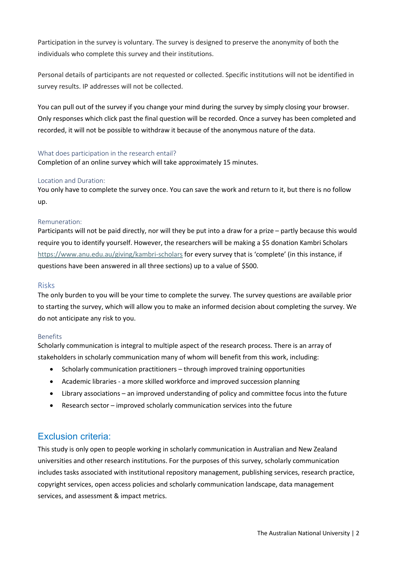Participation in the survey is voluntary. The survey is designed to preserve the anonymity of both the individuals who complete this survey and their institutions.

Personal details of participants are not requested or collected. Specific institutions will not be identified in survey results. IP addresses will not be collected.

You can pull out of the survey if you change your mind during the survey by simply closing your browser. Only responses which click past the final question will be recorded. Once a survey has been completed and recorded, it will not be possible to withdraw it because of the anonymous nature of the data.

#### What does participation in the research entail?

Completion of an online survey which will take approximately 15 minutes.

#### Location and Duration:

You only have to complete the survey once. You can save the work and return to it, but there is no follow up.

#### Remuneration:

Participants will not be paid directly, nor will they be put into a draw for a prize – partly because this would require you to identify yourself. However, the researchers will be making a \$5 donation Kambri Scholars https://www.anu.edu.au/giving/kambri-scholars for every survey that is 'complete' (in this instance, if questions have been answered in all three sections) up to a value of \$500.

#### Risks

The only burden to you will be your time to complete the survey. The survey questions are available prior to starting the survey, which will allow you to make an informed decision about completing the survey. We do not anticipate any risk to you.

#### Benefits

Scholarly communication is integral to multiple aspect of the research process. There is an array of stakeholders in scholarly communication many of whom will benefit from this work, including:

- Scholarly communication practitioners through improved training opportunities
- Academic libraries a more skilled workforce and improved succession planning
- Library associations an improved understanding of policy and committee focus into the future
- Research sector improved scholarly communication services into the future

## Exclusion criteria:

This study is only open to people working in scholarly communication in Australian and New Zealand universities and other research institutions. For the purposes of this survey, scholarly communication includes tasks associated with institutional repository management, publishing services, research practice, copyright services, open access policies and scholarly communication landscape, data management services, and assessment & impact metrics.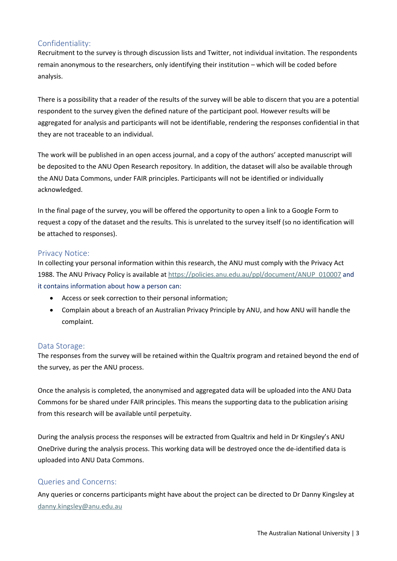## Confidentiality:

Recruitment to the survey is through discussion lists and Twitter, not individual invitation. The respondents remain anonymous to the researchers, only identifying their institution – which will be coded before analysis.

There is a possibility that a reader of the results of the survey will be able to discern that you are a potential respondent to the survey given the defined nature of the participant pool. However results will be aggregated for analysis and participants will not be identifiable, rendering the responses confidential in that they are not traceable to an individual.

The work will be published in an open access journal, and a copy of the authors' accepted manuscript will be deposited to the ANU Open Research repository. In addition, the dataset will also be available through the ANU Data Commons, under FAIR principles. Participants will not be identified or individually acknowledged.

In the final page of the survey, you will be offered the opportunity to open a link to a Google Form to request a copy of the dataset and the results. This is unrelated to the survey itself (so no identification will be attached to responses).

### Privacy Notice:

In collecting your personal information within this research, the ANU must comply with the Privacy Act 1988. The ANU Privacy Policy is available at https://policies.anu.edu.au/ppl/document/ANUP\_010007 and it contains information about how a person can:

- Access or seek correction to their personal information;
- Complain about a breach of an Australian Privacy Principle by ANU, and how ANU will handle the complaint.

#### Data Storage:

The responses from the survey will be retained within the Qualtrix program and retained beyond the end of the survey, as per the ANU process.

Once the analysis is completed, the anonymised and aggregated data will be uploaded into the ANU Data Commons for be shared under FAIR principles. This means the supporting data to the publication arising from this research will be available until perpetuity.

During the analysis process the responses will be extracted from Qualtrix and held in Dr Kingsley's ANU OneDrive during the analysis process. This working data will be destroyed once the de-identified data is uploaded into ANU Data Commons.

## Queries and Concerns:

Any queries or concerns participants might have about the project can be directed to Dr Danny Kingsley at danny.kingsley@anu.edu.au